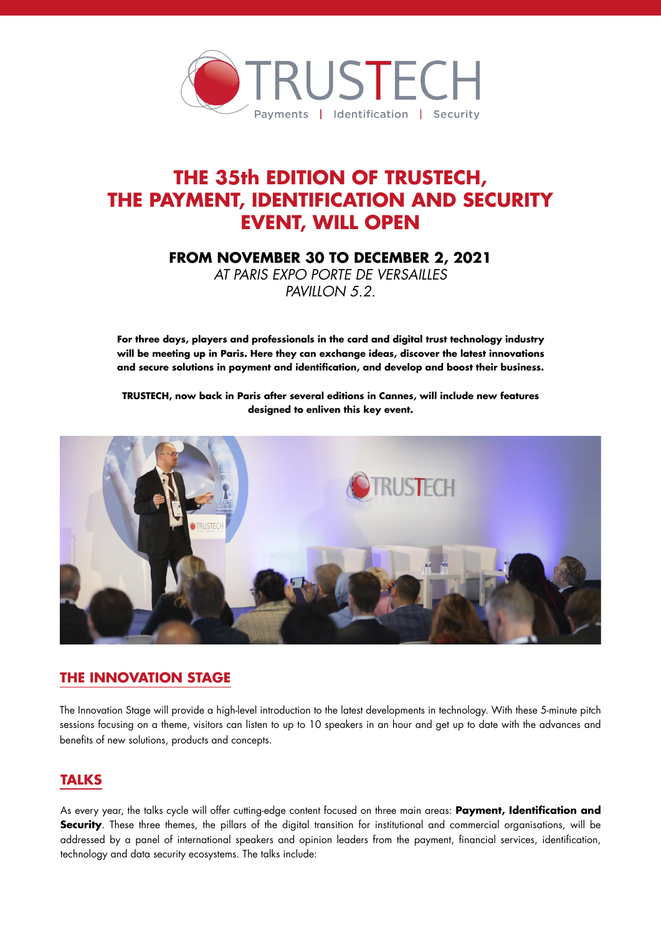

# **THE 35th EDITION OF TRUSTECH, THE PAYMENT, IDENTIFICATION AND SECURITY EVENT, WILL OPEN**

**FROM NOVEMBER 30 TO DECEMBER 2, 2021** 

*AT PARIS EXPO PORTE DE VERSAILLES PAVILLON 5.2.*

**For three days, players and professionals in the card and digital trust technology industry will be meeting up in Paris. Here they can exchange ideas, discover the latest innovations and secure solutions in payment and identification, and develop and boost their business.** 

**TRUSTECH, now back in Paris after several editions in Cannes, will include new features designed to enliven this key event.**



# **THE INNOVATION STAGE**

The Innovation Stage will provide a high-level introduction to the latest developments in technology. With these 5-minute pitch sessions focusing on a theme, visitors can listen to up to 10 speakers in an hour and get up to date with the advances and benefits of new solutions, products and concepts.

# **TALKS**

As every year, the talks cycle will offer cutting-edge content focused on three main areas: **Payment, Identification and Security**. These three themes, the pillars of the digital transition for institutional and commercial organisations, will be addressed by a panel of international speakers and opinion leaders from the payment, financial services, identification, technology and data security ecosystems. The talks include: